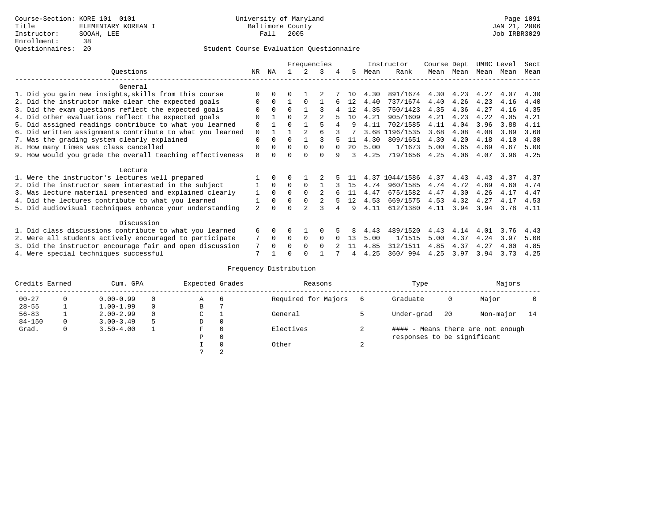## Student Course Evaluation Questionnaire

|                                                           | Frequencies    |              |          |          |          |          |    | Instructor | Course Dept    |      | UMBC Level |      | Sect |      |
|-----------------------------------------------------------|----------------|--------------|----------|----------|----------|----------|----|------------|----------------|------|------------|------|------|------|
| Ouestions<br>NR.                                          |                |              |          |          | 3        |          | 5. | Mean       | Rank           |      | Mean Mean  | Mean | Mean | Mean |
| General                                                   |                |              |          |          |          |          |    |            |                |      |            |      |      |      |
| 1. Did you gain new insights, skills from this course     |                | $\Omega$     |          |          |          |          | 10 | 4.30       | 891/1674       | 4.30 | 4.23       | 4.27 | 4.07 | 4.30 |
| 2. Did the instructor make clear the expected goals       | O              | $\Omega$     |          | $\Omega$ |          |          | 12 | 4.40       | 737/1674       | 4.40 | 4.26       | 4.23 | 4.16 | 4.40 |
| 3. Did the exam questions reflect the expected goals      |                | $\Omega$     | $\Omega$ |          |          |          | 12 | 4.35       | 750/1423       | 4.35 | 4.36       | 4.27 | 4.16 | 4.35 |
| 4. Did other evaluations reflect the expected goals       | $\Omega$       |              | $\Omega$ |          |          |          | 10 | 4.21       | 905/1609       | 4.21 | 4.23       | 4.22 | 4.05 | 4.21 |
| 5. Did assigned readings contribute to what you learned   | $\mathbf 0$    |              | $\Omega$ |          | 5        |          |    | 4.11       | 702/1585       | 4.11 | 4.04       | 3.96 | 3.88 | 4.11 |
| 6. Did written assignments contribute to what you learned | $\Omega$       |              |          |          | 6        |          |    |            | 3.68 1196/1535 | 3.68 | 4.08       | 4.08 | 3.89 | 3.68 |
| 7. Was the grading system clearly explained               | $\Omega$       | $\Omega$     | $\Omega$ |          |          |          | 11 | 4.30       | 809/1651       | 4.30 | 4.20       | 4.18 | 4.10 | 4.30 |
| 8. How many times was class cancelled                     | 0              | $\Omega$     | $\Omega$ | $\Omega$ | $\Omega$ | $\Omega$ | 20 | 5.00       | 1/1673         | 5.00 | 4.65       | 4.69 | 4.67 | 5.00 |
| 9. How would you grade the overall teaching effectiveness | 8              | <sup>n</sup> | ∩        | ∩        | $\cap$   | q        | 3  | 4.25       | 719/1656       | 4.25 | 4.06       | 4.07 | 3.96 | 4.25 |
| Lecture                                                   |                |              |          |          |          |          |    |            |                |      |            |      |      |      |
| 1. Were the instructor's lectures well prepared           |                |              |          |          |          |          |    | 4.37       | 1044/1586      | 4.37 | 4.43       | 4.43 | 4.37 | 4.37 |
| 2. Did the instructor seem interested in the subject      |                | $\Omega$     | $\Omega$ | $\Omega$ |          |          | 15 | 4.74       | 960/1585       | 4.74 | 4.72       | 4.69 | 4.60 | 4.74 |
| 3. Was lecture material presented and explained clearly   | 1              | $\Omega$     | $\Omega$ | $\Omega$ | 2        |          | 11 | 4.47       | 675/1582       | 4.47 | 4.30       | 4.26 | 4.17 | 4.47 |
| 4. Did the lectures contribute to what you learned        |                | $\Omega$     | $\Omega$ | $\Omega$ |          |          | 12 | 4.53       | 669/1575       | 4.53 | 4.32       | 4.27 | 4.17 | 4.53 |
| 5. Did audiovisual techniques enhance your understanding  | $\overline{a}$ | $\cap$       |          |          |          |          | q  | 4.11       | 612/1380       | 4.11 | 3.94       | 3.94 | 3.78 | 4.11 |
| Discussion                                                |                |              |          |          |          |          |    |            |                |      |            |      |      |      |
| 1. Did class discussions contribute to what you learned   | 6              | $\Omega$     | 0        |          | O        |          |    | 4.43       | 489/1520       | 4.43 | 4.14       | 4.01 | 3.76 | 4.43 |
| 2. Were all students actively encouraged to participate   |                | $\Omega$     | $\Omega$ | $\Omega$ | $\Omega$ |          | 13 | 5.00       | 1/1515         | 5.00 | 4.37       | 4.24 | 3.97 | 5.00 |
| 3. Did the instructor encourage fair and open discussion  | 7              | $\Omega$     | O        | $\Omega$ | $\Omega$ |          | 11 | 4.85       | 312/1511       | 4.85 | 4.37       | 4.27 | 4.00 | 4.85 |
| 4. Were special techniques successful                     | 7              |              |          |          |          |          |    | 4.25       | 360/994        | 4.25 | 3.97       | 3.94 | 3.73 | 4.25 |

## Frequency Distribution

|            | Credits Earned<br>Cum. GPA |               |    | Expected Grades |          | Reasons             |        | Type                        | Majors |                                   |    |
|------------|----------------------------|---------------|----|-----------------|----------|---------------------|--------|-----------------------------|--------|-----------------------------------|----|
| $00 - 27$  | $\Omega$                   | $0.00 - 0.99$ |    | А               | 6        | Required for Majors | 6      | Graduate                    | 0      | Major                             |    |
| $28 - 55$  | ᅩ                          | $1.00 - 1.99$ |    | В               |          |                     |        |                             |        |                                   |    |
| $56 - 83$  |                            | $2.00 - 2.99$ |    | $\sim$<br>◡     |          | General             |        | Under-grad                  | -20    | Non-major                         | 14 |
| $84 - 150$ | 0                          | $3.00 - 3.49$ | .5 | D               | 0        |                     |        |                             |        |                                   |    |
| Grad.      | 0                          | $3.50 - 4.00$ |    | F               | 0        | Electives           |        |                             |        | #### - Means there are not enough |    |
|            |                            |               |    | Ρ               | 0        |                     |        | responses to be significant |        |                                   |    |
|            |                            |               |    |                 | $\Omega$ | Other               | $\sim$ |                             |        |                                   |    |
|            |                            |               |    | C               | 2        |                     |        |                             |        |                                   |    |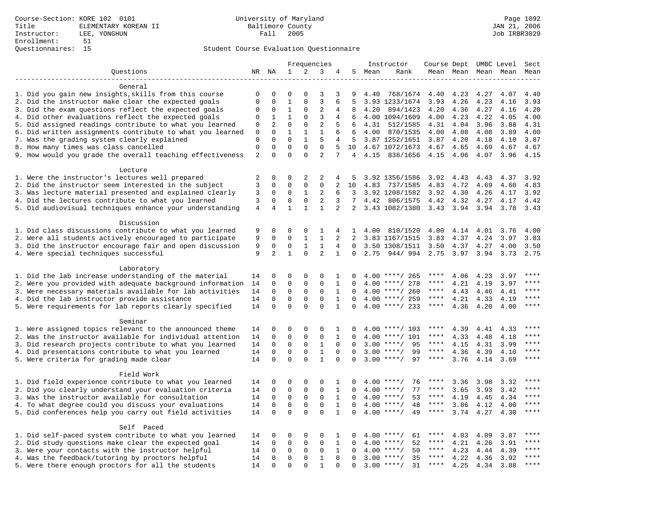## Student Course Evaluation Questionnaire

|                                                                                                                       |                              |                            | Frequencies              |                             |                   |                |                      | Instructor |                                      |              | Course Dept UMBC Level |              | Sect                |               |
|-----------------------------------------------------------------------------------------------------------------------|------------------------------|----------------------------|--------------------------|-----------------------------|-------------------|----------------|----------------------|------------|--------------------------------------|--------------|------------------------|--------------|---------------------|---------------|
| Ouestions                                                                                                             |                              | NR NA                      | 1                        | 2                           | 3                 | 4              |                      | 5 Mean     | Rank                                 |              |                        |              | Mean Mean Mean Mean | Mean          |
|                                                                                                                       |                              |                            |                          |                             |                   |                |                      |            |                                      |              |                        |              |                     |               |
| General                                                                                                               |                              |                            |                          |                             |                   |                |                      |            |                                      |              |                        |              |                     |               |
| 1. Did you gain new insights, skills from this course                                                                 | $\mathbf 0$                  | $\mathbf 0$                | $\Omega$                 | $\Omega$                    | 3                 | 3              | 9                    | 4.40       | 768/1674                             | 4.40         | 4.23                   | 4.27         | 4.07                | 4.40          |
| 2. Did the instructor make clear the expected goals                                                                   | $\mathbf 0$                  | $\mathbf 0$                | $\mathbf 1$              | $\mathbf{0}$                | 3                 | 6              | 5                    |            | 3.93 1233/1674                       | 3.93         | 4.26                   | 4.23         | 4.16                | 3.93          |
| 3. Did the exam questions reflect the expected goals                                                                  | 0                            | $\mathbf 0$                | $\mathbf{1}$             | 0                           | $\overline{2}$    | 4              | 8                    | 4.20       | 894/1423                             | 4.20         | 4.36                   | 4.27         | 4.16                | 4.20          |
| 4. Did other evaluations reflect the expected goals                                                                   | $\mathbf 0$                  | 1                          | $\mathbf{1}$             | $\Omega$                    | 3                 | 4              | 6                    |            | 4.00 1094/1609                       | 4.00         | 4.23                   | 4.22         | 4.05                | 4.00          |
| 5. Did assigned readings contribute to what you learned                                                               | $\mathbf{0}$                 | 2                          | $\mathbf 0$              | $\mathbf 0$                 | $\overline{2}$    | 5              | 6                    | 4.31       | 512/1585                             | 4.31         | 4.04                   | 3.96         | 3.88                | 4.31          |
| 6. Did written assignments contribute to what you learned                                                             | 0                            | $\Omega$<br>$\Omega$       | $\mathbf{1}$<br>$\Omega$ | $\mathbf{1}$                | $\mathbf{1}$<br>5 | 6              | 6                    | 4.00       | 870/1535                             | 4.00         | 4.08                   | 4.08         | 3.89                | 4.00          |
| 7. Was the grading system clearly explained<br>8. How many times was class cancelled                                  | $\mathbf{0}$<br>$\mathbf{0}$ | $\mathbf 0$                | $\mathbf 0$              | $\mathbf{1}$<br>$\mathbf 0$ | $\mathbf{0}$      | 4<br>5         | 5<br>10              |            | 3.87 1252/1651<br>4.67 1072/1673     | 3.87         | 4.20                   | 4.18         | 4.10                | 3.87<br>4.67  |
| 9. How would you grade the overall teaching effectiveness                                                             | 2                            | $\Omega$                   | $\Omega$                 | $\Omega$                    | $\mathfrak{D}$    |                | $\overline{4}$       |            | 4.15 838/1656                        | 4.67<br>4.15 | 4.65<br>4.06           | 4.69<br>4.07 | 4.67<br>3.96        | 4.15          |
|                                                                                                                       |                              |                            |                          |                             |                   |                |                      |            |                                      |              |                        |              |                     |               |
| Lecture                                                                                                               |                              |                            |                          |                             |                   |                |                      |            |                                      |              |                        |              |                     |               |
| 1. Were the instructor's lectures well prepared                                                                       | 2                            | $\mathbf 0$                | 0                        | 2                           | 2                 | 4              | 5                    |            | 3.92 1356/1586                       | 3.92         | 4.43                   | 4.43         | 4.37                | 3.92          |
| 2. Did the instructor seem interested in the subject                                                                  | $\overline{3}$               | $\mathbf 0$                | $\mathbf 0$              | $\mathbf 0$                 | $\mathbf{0}$      | 2              | 10                   | 4.83       | 737/1585                             | 4.83         | 4.72                   | 4.69         | 4.60                | 4.83          |
| 3. Was lecture material presented and explained clearly                                                               | 3                            | 0                          | 0                        | 1                           | 2                 | 6              | 3                    |            | 3.92 1208/1582                       | 3.92         | 4.30                   | 4.26         | 4.17                | 3.92          |
| 4. Did the lectures contribute to what you learned                                                                    | 3                            | $\mathbf 0$                | $\mathbf 0$              | $\mathbf 0$                 | 2                 | 3              | 7                    | 4.42       | 806/1575                             | 4.42         | 4.32                   | 4.27         | 4.17                | 4.42          |
| 5. Did audiovisual techniques enhance your understanding                                                              | $\overline{4}$               | $\overline{4}$             | $\mathbf{1}$             | $\mathbf{1}$                | $\mathbf{1}$      | $\overline{2}$ | $\overline{2}$       |            | 3.43 1082/1380                       | 3.43         | 3.94                   | 3.94         | 3.78                | 3.43          |
|                                                                                                                       |                              |                            |                          |                             |                   |                |                      |            |                                      |              |                        |              |                     |               |
| Discussion                                                                                                            |                              |                            |                          |                             |                   |                |                      |            |                                      |              |                        |              |                     |               |
| 1. Did class discussions contribute to what you learned                                                               | 9                            | $\mathbf 0$                | 0                        | $\mathbf 0$                 | 1                 | 4              | $\mathbf{1}$         | 4.00       | 810/1520                             | 4.00         | 4.14                   | 4.01         | 3.76                | 4.00          |
| 2. Were all students actively encouraged to participate                                                               | 9                            | $\mathbf 0$                | $\mathbf 0$              | $\mathbf{1}$                | $\mathbf{1}$      | $\overline{2}$ | 2                    |            | 3.83 1167/1515                       | 3.83         | 4.37                   | 4.24         | 3.97                | 3.83          |
| 3. Did the instructor encourage fair and open discussion                                                              | 9                            | $\mathbf 0$                | $\mathbf 0$              | $\mathbf{1}$                | $\mathbf{1}$      | 4              | $\Omega$             |            | 3.50 1308/1511                       | 3.50         | 4.37                   | 4.27         | 4.00                | 3.50          |
| 4. Were special techniques successful                                                                                 | 9                            | $\overline{2}$             | $\mathbf{1}$             | $\Omega$                    | $\overline{2}$    | $\mathbf{1}$   | $\Omega$             | 2.75       | 944/994                              | 2.75         | 3.97                   | 3.94         | 3.73                | 2.75          |
|                                                                                                                       |                              |                            |                          |                             |                   |                |                      |            |                                      |              |                        |              |                     |               |
| Laboratory                                                                                                            |                              |                            |                          |                             |                   |                |                      |            |                                      | ****         |                        |              |                     |               |
| 1. Did the lab increase understanding of the material                                                                 | 14<br>14                     | $\mathbf 0$<br>$\mathbf 0$ | 0<br>$\mathbf 0$         | $\mathbf 0$<br>$\mathbf 0$  | 0<br>$\mathbf{0}$ | 1<br>1         | $\Omega$<br>$\Omega$ |            | $4.00$ ****/ 265<br>$4.00$ ****/ 278 | ****         | 4.06<br>4.21           | 4.23<br>4.19 | 3.97<br>3.97        | ****          |
| 2. Were you provided with adequate background information<br>3. Were necessary materials available for lab activities | 14                           | $\Omega$                   | $\Omega$                 | $\Omega$                    | $\mathbf 0$       | $\mathbf{1}$   | $\Omega$             |            | $4.00$ ****/ 260                     | $***$ * *    | 4.43                   | 4.46         | 4.41                | ****          |
| 4. Did the lab instructor provide assistance                                                                          | 14                           | $\mathbf 0$                | $\mathbf 0$              | $\mathbf 0$                 | $\mathbf 0$       | $\mathbf{1}$   | $\Omega$             |            | $4.00$ ****/ 259                     | $***$ * *    | 4.21                   | 4.33         | 4.19                | $***$         |
| 5. Were requirements for lab reports clearly specified                                                                | 14                           | $\mathbf 0$                | $\Omega$                 | $\Omega$                    | $\Omega$          | $\mathbf{1}$   | $\Omega$             |            | $4.00$ ****/ 233                     | ****         | 4.36                   | 4.20         | 4.00                | ****          |
|                                                                                                                       |                              |                            |                          |                             |                   |                |                      |            |                                      |              |                        |              |                     |               |
| Seminar                                                                                                               |                              |                            |                          |                             |                   |                |                      |            |                                      |              |                        |              |                     |               |
| 1. Were assigned topics relevant to the announced theme                                                               | 14                           | 0                          | 0                        | $\mathsf 0$                 | $\Omega$          | 1              | $\Omega$             |            | $4.00$ ****/ 103                     | $***$ * *    | 4.39                   | 4.41         | 4.33                | ****          |
| 2. Was the instructor available for individual attention                                                              | 14                           | 0                          | $\mathbf 0$              | $\mathsf 0$                 | $\mathbf 0$       | $\mathbf{1}$   | 0                    | 4.00       | ****/ 101                            | ****         | 4.33                   | 4.48         | 4.18                | ****          |
| 3. Did research projects contribute to what you learned                                                               | 14                           | $\mathbf 0$                | 0                        | $\mathbf{0}$                | $\mathbf{1}$      | $\mathbf 0$    | $\Omega$             |            | 95<br>$3.00$ ****/                   | $***$ * *    | 4.15                   | 4.31         | 3.99                | $***$         |
| 4. Did presentations contribute to what you learned                                                                   | 14                           | $\Omega$                   | $\mathbf 0$              | $\mathbf 0$                 | 1                 | $\Omega$       | $\Omega$             | 3.00       | $***/$<br>99                         | $***$ * *    | 4.36                   | 4.39         | 4.10                | $***$         |
| 5. Were criteria for grading made clear                                                                               | 14                           | $\Omega$                   | $\Omega$                 | $\Omega$                    | $\mathbf{1}$      | $\Omega$       | $\Omega$             |            | $3.00$ ****/<br>97                   | ****         | 3.76                   | 4.14         | 3.69                | ****          |
|                                                                                                                       |                              |                            |                          |                             |                   |                |                      |            |                                      |              |                        |              |                     |               |
| Field Work                                                                                                            |                              |                            |                          |                             |                   |                |                      |            |                                      |              |                        |              |                     |               |
| 1. Did field experience contribute to what you learned                                                                | 14                           | 0                          | 0                        | $\mathbf 0$                 | 0                 | 1              | $\Omega$             |            | $4.00$ ****/<br>76                   | ****         | 3.36                   | 3.98         | 3.32                | ****          |
| 2. Did you clearly understand your evaluation criteria                                                                | 14                           | $\mathbf 0$                | $\mathbf 0$              | $\mathbf 0$                 | $\mathbf 0$       | $\mathbf{1}$   | $\Omega$             |            | 77<br>$4.00$ ****/                   | ****         | 3.65                   | 3.93         | 3.42                | ****          |
| 3. Was the instructor available for consultation                                                                      | 14                           | $\mathbf 0$                | $\mathbf 0$              | $\mathbf 0$                 | $\mathbf 0$       | $\mathbf{1}$   | $\Omega$             |            | $4.00$ ****/<br>53                   | ****         | 4.19                   | 4.45         | 4.34                | ****<br>$***$ |
| 4. To what degree could you discuss your evaluations                                                                  | 14                           | $\Omega$                   | $\mathbf 0$              | $\mathsf 0$                 | $\mathbf 0$       | $\mathbf{1}$   | $\Omega$             |            | $4.00$ ****/<br>48                   | $***$ * * *  | 3.86                   | 4.12         | 4.00                |               |
| 5. Did conferences help you carry out field activities                                                                | 14                           | $\Omega$                   | $\mathbf 0$              | $\Omega$                    | $\Omega$          | $\mathbf{1}$   | $\Omega$             | 4.00       | $***/$<br>49                         | $***$ * * *  | 3.74                   | 4.27         | 4.30                | $***$         |
| Self Paced                                                                                                            |                              |                            |                          |                             |                   |                |                      |            |                                      |              |                        |              |                     |               |
| 1. Did self-paced system contribute to what you learned                                                               | 14                           | $\mathbf 0$                | 0                        | $\mathbf 0$                 | $\mathbf 0$       | 1              | $\Omega$             |            | $4.00$ ****/<br>61                   | ****         | 4.03                   | 4.09         | 3.87                | ****          |
| 2. Did study questions make clear the expected goal                                                                   | 14                           | $\Omega$                   | 0                        | $\mathsf 0$                 | $\mathbf 0$       | $\mathbf{1}$   | $\Omega$             |            | $4.00$ ****/<br>52                   | $***$ * * *  | 4.21                   | 4.26         | 3.91                | ****          |
| 3. Were your contacts with the instructor helpful                                                                     | 14                           | $\mathbf 0$                | $\mathbf 0$              | $\mathsf 0$                 | $\mathbf 0$       | $\mathbf{1}$   | $\mathbf 0$          | 4.00       | 50<br>$***/$                         | $***$ * *    | 4.23                   | 4.44         | 4.39                | ****          |
| 4. Was the feedback/tutoring by proctors helpful                                                                      | 14                           | $\mathbf 0$                | $\mathbf 0$              | $\mathbf 0$                 | $\mathbf{1}$      | $\mathbf 0$    | $\Omega$             |            | $3.00$ ****/<br>35                   | ****         | 4.22                   | 4.36         | 3.92                | ****          |
| 5. Were there enough proctors for all the students                                                                    | 14                           | $\Omega$                   | $\Omega$                 | $\Omega$                    | $\mathbf{1}$      | $\Omega$       | $\Omega$             |            | $3.00$ ****/<br>31                   | $***$ * * *  | 4.25                   | 4.34         | 3.88                | ****          |
|                                                                                                                       |                              |                            |                          |                             |                   |                |                      |            |                                      |              |                        |              |                     |               |